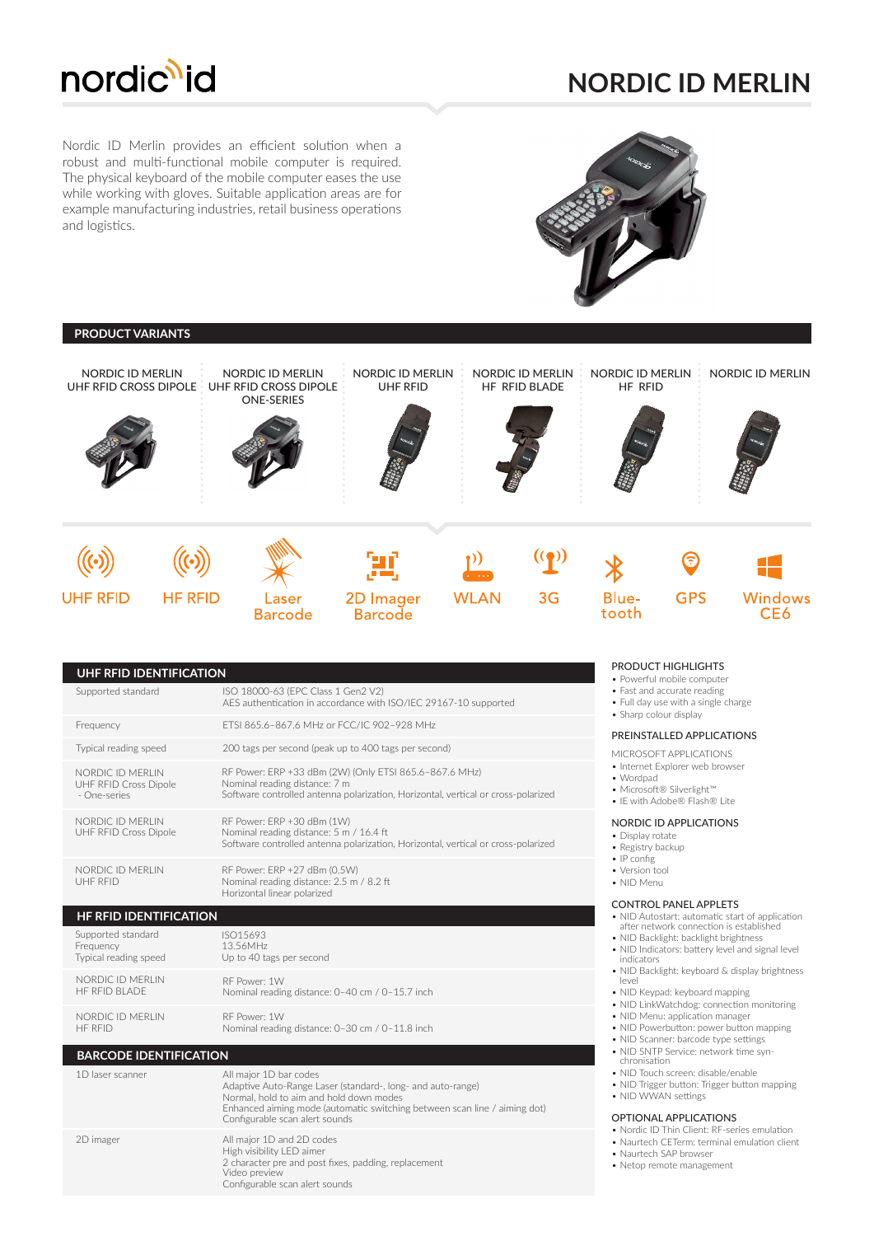

## **NORDIC ID MERLIN**

Nordic ID Merlin provides an efficient solution when a robust and multi-functional mobile computer is required. The physical keyboard of the mobile computer eases the use while working with gloves. Suitable application areas are for example manufacturing industries, retail business operations and logistics.



| <b>PRODUCT VARIANTS</b>                          |                                                                                                                                                                                                                                                                                                                                                                                                                                                                                                                                                                                                                                                                     |                                                                                                                                                                                                                                                 |                                     |             |                                          |                                                                                                                                                                                                                                                                                            |                                                                                                                                                                                                                                                                                              |                  |  |  |
|--------------------------------------------------|---------------------------------------------------------------------------------------------------------------------------------------------------------------------------------------------------------------------------------------------------------------------------------------------------------------------------------------------------------------------------------------------------------------------------------------------------------------------------------------------------------------------------------------------------------------------------------------------------------------------------------------------------------------------|-------------------------------------------------------------------------------------------------------------------------------------------------------------------------------------------------------------------------------------------------|-------------------------------------|-------------|------------------------------------------|--------------------------------------------------------------------------------------------------------------------------------------------------------------------------------------------------------------------------------------------------------------------------------------------|----------------------------------------------------------------------------------------------------------------------------------------------------------------------------------------------------------------------------------------------------------------------------------------------|------------------|--|--|
| <b>NORDIC ID MERLIN</b><br>UHF RFID CROSS DIPOLE |                                                                                                                                                                                                                                                                                                                                                                                                                                                                                                                                                                                                                                                                     | <b>NORDIC ID MERLIN</b><br>UHF RFID CROSS DIPOLE<br><b>ONE-SERIES</b>                                                                                                                                                                           | NORDIC ID MERLIN<br><b>UHF RFID</b> |             | NORDIC ID MERLIN<br><b>HF RFID BLADE</b> | <b>NORDIC ID MERLIN</b><br>HF RFID                                                                                                                                                                                                                                                         |                                                                                                                                                                                                                                                                                              | NORDIC ID MERLIN |  |  |
|                                                  |                                                                                                                                                                                                                                                                                                                                                                                                                                                                                                                                                                                                                                                                     |                                                                                                                                                                                                                                                 |                                     |             |                                          |                                                                                                                                                                                                                                                                                            |                                                                                                                                                                                                                                                                                              |                  |  |  |
| <b>UHF RFID</b>                                  | <b>HF RFID</b>                                                                                                                                                                                                                                                                                                                                                                                                                                                                                                                                                                                                                                                      | Laser<br><b>Barcode</b>                                                                                                                                                                                                                         | 2D Imager<br><b>Barcode</b>         | <b>WLAN</b> | 3G                                       | <b>Blue-</b><br>tooth                                                                                                                                                                                                                                                                      | <b>GPS</b>                                                                                                                                                                                                                                                                                   | Windows<br>CE6   |  |  |
| Frequency<br>- One-series<br>UHF RFID            | ETSI 865.6-867.6 MHz or FCC/IC 902-928 MHz<br>Typical reading speed<br>200 tags per second (peak up to 400 tags per second)<br>RF Power: ERP +33 dBm (2W) (Only ETSI 865.6-867.6 MHz)<br>NORDIC ID MERLIN<br>Nominal reading distance: 7 m<br>UHF RFID Cross Dipole<br>Software controlled antenna polarization, Horizontal, vertical or cross-polarized<br>NORDIC ID MERLIN<br>RF Power: ERP +30 dBm (1W)<br>UHF RFID Cross Dipole<br>Nominal reading distance: 5 m / 16.4 ft<br>Software controlled antenna polarization, Horizontal, vertical or cross-polarized<br>NORDIC ID MERLIN<br>RF Power: ERP +27 dBm (0.5W)<br>Nominal reading distance: 2.5 m / 8.2 ft |                                                                                                                                                                                                                                                 |                                     |             |                                          | PREINSTALLED APPLICATIONS<br>MICROSOFT APPLICATIONS<br>• Internet Explorer web browser<br>• Wordpad<br>• Microsoft® Silverlight™<br>• IE with Adobe® Flash® Lite<br>NORDIC ID APPLICATIONS<br>• Display rotate<br>• Registry backup<br>$\bullet$ IP config<br>• Version tool<br>• NID Menu |                                                                                                                                                                                                                                                                                              |                  |  |  |
|                                                  | Horizontal linear polarized<br><b>HF RFID IDENTIFICATION</b>                                                                                                                                                                                                                                                                                                                                                                                                                                                                                                                                                                                                        |                                                                                                                                                                                                                                                 |                                     |             |                                          |                                                                                                                                                                                                                                                                                            | <b>CONTROL PANEL APPLETS</b><br>• NID Autostart: automatic start of application                                                                                                                                                                                                              |                  |  |  |
| Frequency                                        | Supported standard<br>ISO15693<br>13.56MHz<br>Typical reading speed<br>Up to 40 tags per second<br>NORDIC ID MERLIN<br>RF Power: 1W<br>HF RFID BLADE<br>Nominal reading distance: 0-40 cm / 0-15.7 inch                                                                                                                                                                                                                                                                                                                                                                                                                                                             |                                                                                                                                                                                                                                                 |                                     |             |                                          |                                                                                                                                                                                                                                                                                            | after network connection is established<br>• NID Backlight: backlight brightness<br>• NID Indicators: battery level and signal level<br>indicators<br>• NID Backlight: keyboard & display brightness<br>level<br>• NID Keypad: keyboard mapping<br>• NID LinkWatchdog: connection monitoring |                  |  |  |
| <b>HF RFID</b>                                   | NORDIC ID MERLIN<br>RF Power: 1W<br>Nominal reading distance: 0-30 cm / 0-11.8 inch                                                                                                                                                                                                                                                                                                                                                                                                                                                                                                                                                                                 |                                                                                                                                                                                                                                                 |                                     |             |                                          | • NID Menu: application manager<br>• NID Powerbutton: power button mapping<br>• NID Scanner: barcode type settings                                                                                                                                                                         |                                                                                                                                                                                                                                                                                              |                  |  |  |
| 1D laser scanner                                 | <b>BARCODE IDENTIFICATION</b>                                                                                                                                                                                                                                                                                                                                                                                                                                                                                                                                                                                                                                       | All major 1D bar codes<br>Adaptive Auto-Range Laser (standard-, long- and auto-range)<br>Normal, hold to aim and hold down modes<br>Enhanced aiming mode (automatic switching between scan line / aiming dot)<br>Configurable scan alert sounds |                                     |             |                                          |                                                                                                                                                                                                                                                                                            | • NID SNTP Service: network time syn-<br>chronisation<br>• NID Touch screen: disable/enable<br>• NID Trigger button: Trigger button mapping<br>• NID WWAN settings<br>OPTIONAL APPLICATIONS                                                                                                  |                  |  |  |
| 2D imager                                        |                                                                                                                                                                                                                                                                                                                                                                                                                                                                                                                                                                                                                                                                     | All major 1D and 2D codes<br>High visibility LED aimer<br>2 character pre and post fixes, padding, replacement<br>Video preview<br>Configurable scan alert sounds                                                                               |                                     |             |                                          | • Nordic ID Thin Client: RF-series emulation<br>• Naurtech CETerm: terminal emulation client<br>• Naurtech SAP browser<br>• Netop remote management                                                                                                                                        |                                                                                                                                                                                                                                                                                              |                  |  |  |